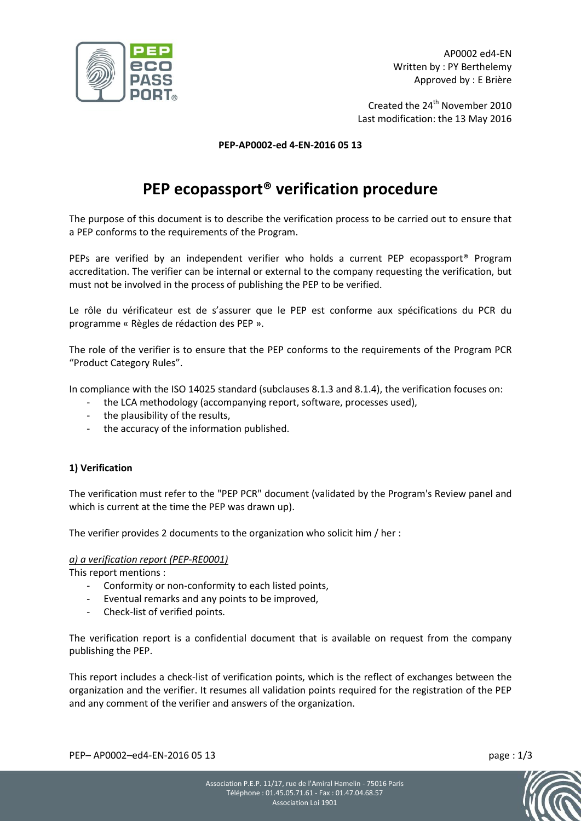

AP0002 ed4-EN Written by : PY Berthelemy Approved by : E Brière

Created the 24<sup>th</sup> November 2010 Last modification: the 13 May 2016

#### **PEP-AP0002-ed 4-EN-2016 05 13**

# **PEP ecopassport® verification procedure**

The purpose of this document is to describe the verification process to be carried out to ensure that a PEP conforms to the requirements of the Program.

PEPs are verified by an independent verifier who holds a current PEP ecopassport® Program accreditation. The verifier can be internal or external to the company requesting the verification, but must not be involved in the process of publishing the PEP to be verified.

Le rôle du vérificateur est de s'assurer que le PEP est conforme aux spécifications du PCR du programme « Règles de rédaction des PEP ».

The role of the verifier is to ensure that the PEP conforms to the requirements of the Program PCR "Product Category Rules".

In compliance with the ISO 14025 standard (subclauses 8.1.3 and 8.1.4), the verification focuses on:

- the LCA methodology (accompanying report, software, processes used),
- the plausibility of the results,
- the accuracy of the information published.

#### **1) Verification**

The verification must refer to the "PEP PCR" document (validated by the Program's Review panel and which is current at the time the PEP was drawn up).

The verifier provides 2 documents to the organization who solicit him / her :

#### *a) a verification report (PEP-RE0001)*

This report mentions :

- Conformity or non-conformity to each listed points,
- Eventual remarks and any points to be improved,
- Check-list of verified points.

The verification report is a confidential document that is available on request from the company publishing the PEP.

This report includes a check-list of verification points, which is the reflect of exchanges between the organization and the verifier. It resumes all validation points required for the registration of the PEP and any comment of the verifier and answers of the organization.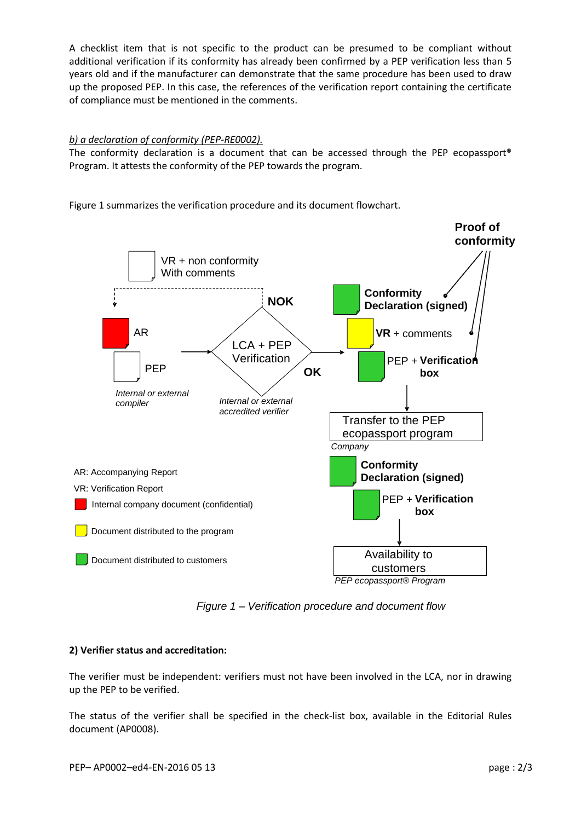A checklist item that is not specific to the product can be presumed to be compliant without additional verification if its conformity has already been confirmed by a PEP verification less than 5 years old and if the manufacturer can demonstrate that the same procedure has been used to draw up the proposed PEP. In this case, the references of the verification report containing the certificate of compliance must be mentioned in the comments.

## *b) a declaration of conformity (PEP-RE0002).*

The conformity declaration is a document that can be accessed through the PEP ecopassport<sup>®</sup> Program. It attests the conformity of the PEP towards the program.





*Figure 1 – Verification procedure and document flow*

## **2) Verifier status and accreditation:**

The verifier must be independent: verifiers must not have been involved in the LCA, nor in drawing up the PEP to be verified.

The status of the verifier shall be specified in the check-list box, available in the Editorial Rules document (AP0008).